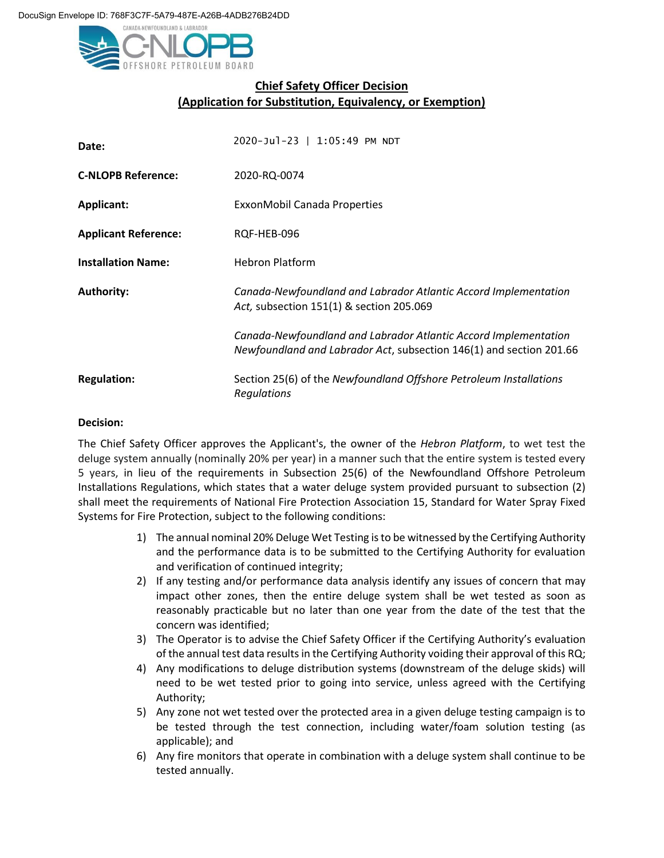

## **Chief Safety Officer Decision (Application for Substitution, Equivalency, or Exemption)**

| Date:                       | 2020-Jul-23   1:05:49 PM NDT                                                                                                           |
|-----------------------------|----------------------------------------------------------------------------------------------------------------------------------------|
| <b>C-NLOPB Reference:</b>   | 2020-RQ-0074                                                                                                                           |
| <b>Applicant:</b>           | ExxonMobil Canada Properties                                                                                                           |
| <b>Applicant Reference:</b> | RQF-HEB-096                                                                                                                            |
| <b>Installation Name:</b>   | <b>Hebron Platform</b>                                                                                                                 |
| <b>Authority:</b>           | Canada-Newfoundland and Labrador Atlantic Accord Implementation<br>Act, subsection 151(1) & section 205.069                            |
|                             | Canada-Newfoundland and Labrador Atlantic Accord Implementation<br>Newfoundland and Labrador Act, subsection 146(1) and section 201.66 |
| <b>Regulation:</b>          | Section 25(6) of the Newfoundland Offshore Petroleum Installations<br>Regulations                                                      |

## **Decision:**

The Chief Safety Officer approves the Applicant's, the owner of the *Hebron Platform*, to wet test the deluge system annually (nominally 20% per year) in a manner such that the entire system is tested every 5 years, in lieu of the requirements in Subsection 25(6) of the Newfoundland Offshore Petroleum Installations Regulations, which states that a water deluge system provided pursuant to subsection (2) shall meet the requirements of National Fire Protection Association 15, Standard for Water Spray Fixed Systems for Fire Protection, subject to the following conditions:

- 1) The annual nominal 20% Deluge Wet Testing is to be witnessed by the Certifying Authority and the performance data is to be submitted to the Certifying Authority for evaluation and verification of continued integrity;
- 2) If any testing and/or performance data analysis identify any issues of concern that may impact other zones, then the entire deluge system shall be wet tested as soon as reasonably practicable but no later than one year from the date of the test that the concern was identified;
- 3) The Operator is to advise the Chief Safety Officer if the Certifying Authority's evaluation of the annual test data results in the Certifying Authority voiding their approval of this RQ;
- 4) Any modifications to deluge distribution systems (downstream of the deluge skids) will need to be wet tested prior to going into service, unless agreed with the Certifying Authority;
- 5) Any zone not wet tested over the protected area in a given deluge testing campaign is to be tested through the test connection, including water/foam solution testing (as applicable); and
- 6) Any fire monitors that operate in combination with a deluge system shall continue to be tested annually.